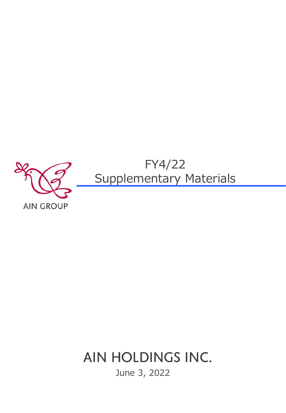

# AIN HOLDINGS INC.

June 3, 2022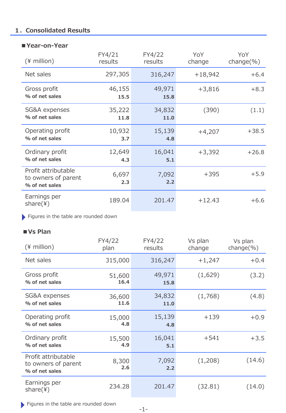# **1.Consolidated Results**

### **■Year-on-Year**

| $(*)$ million)                                               | FY4/21<br>results | FY4/22<br>results | YoY<br>change | YoY<br>change $(\% )$ |  |
|--------------------------------------------------------------|-------------------|-------------------|---------------|-----------------------|--|
| Net sales                                                    | 297,305           | 316,247           | $+18,942$     | $+6.4$                |  |
| Gross profit<br>% of net sales                               | 46,155<br>15.5    | 49,971<br>15.8    | $+3,816$      | $+8.3$                |  |
| SG&A expenses<br>% of net sales                              | 35,222<br>11.8    | 34,832<br>11.0    | (390)         | (1.1)                 |  |
| Operating profit<br>% of net sales                           | 10,932<br>3.7     | 15,139<br>4.8     | $+4,207$      | $+38.5$               |  |
| Ordinary profit<br>% of net sales                            | 12,649<br>4.3     | 16,041<br>5.1     | $+3,392$      | $+26.8$               |  |
| Profit attributable<br>to owners of parent<br>% of net sales | 6,697<br>2.3      | 7,092<br>2.2      | $+395$        | $+5.9$                |  |
| Earnings per<br>share(4)                                     | 189.04            | 201.47            | $+12.43$      | $+6.6$                |  |

Figures in the table are rounded down

# **■Vs Plan**

| $(*)$ million)                                               | FY4/22<br>FY4/22<br>results<br>plan |                           | Vs plan<br>change | Vs plan<br>change $(\%)$ |
|--------------------------------------------------------------|-------------------------------------|---------------------------|-------------------|--------------------------|
| Net sales                                                    | 315,000                             | 316,247                   | $+1,247$          | $+0.4$                   |
| Gross profit<br>% of net sales                               | 51,600<br>16.4                      | 49,971<br>(1,629)<br>15.8 |                   | (3.2)                    |
| SG&A expenses<br>% of net sales                              | 36,600<br>11.6                      | 34,832<br>11.0            | (1,768)           | (4.8)                    |
| Operating profit<br>% of net sales                           | 15,000<br>4.8                       | 15,139<br>4.8             | $+139$            | $+0.9$                   |
| Ordinary profit<br>% of net sales                            | 15,500<br>4.9                       | 16,041<br>5.1             | $+541$            | $+3.5$                   |
| Profit attributable<br>to owners of parent<br>% of net sales | 8,300<br>2.6                        | 7,092<br>2.2              | (1,208)           | (14.6)                   |
| Earnings per<br>share(4)                                     | 234.28                              | 201.47                    | (32.81)           | (14.0)                   |

Figures in the table are rounded down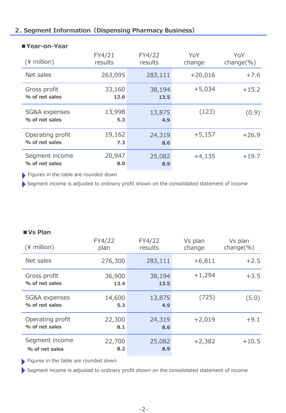# **2. Segment Information(Dispensing Pharmacy Business)**

| $(*)$ million)                     | FY4/21<br>results | FY4/22<br>results | YoY<br>change | YoY<br>$change(\%)$ |
|------------------------------------|-------------------|-------------------|---------------|---------------------|
| Net sales                          | 263,095           | 283,111           | $+20,016$     | $+7.6$              |
| Gross profit<br>% of net sales     | 33,160<br>12.6    | 38,194<br>13.5    | $+5,034$      | $+15.2$             |
| SG&A expenses<br>% of net sales    | 13,998<br>5.3     | 13,875<br>4.9     | (123)         | (0.9)               |
| Operating profit<br>% of net sales | 19,162<br>7.3     | 24,319<br>8.6     | $+5,157$      | $+26.9$             |
| Segment income<br>% of net sales   | 20,947<br>8.0     | 25,082<br>8.9     | $+4,135$      | $+19.7$             |

#### **■Year-on-Year**

Figures in the table are rounded down

Segment income is adjusted to ordinary profit shown on the consolidated statement of income

# **■Vs Plan**

| $(*)$ million)                     | FY4/22<br>plan | FY4/22<br>results | Vs plan<br>change | Vs plan<br>change $(\% )$ |
|------------------------------------|----------------|-------------------|-------------------|---------------------------|
| Net sales                          | 276,300        | 283,111           | $+6,811$          | $+2.5$                    |
| Gross profit<br>% of net sales     | 36,900<br>13.4 | 38,194<br>13.5    | $+1,294$          | $+3.5$                    |
| SG&A expenses<br>% of net sales    | 14,600<br>5.3  | 13,875<br>4.9     | (725)             | (5.0)                     |
| Operating profit<br>% of net sales | 22,300<br>8.1  | 24,319<br>8.6     | $+2,019$          | $+9.1$                    |
| Segment income<br>% of net sales   | 22,700<br>8.2  | 25,082<br>8.9     | $+2,382$          | $+10.5$                   |

Figures in the table are rounded down

Segment income is adjusted to ordinary profit shown on the consolidated statement of income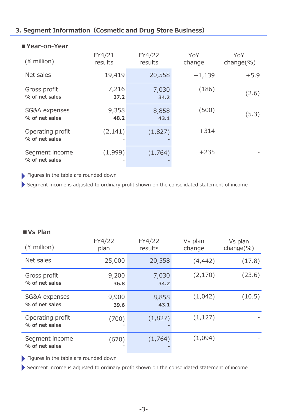# **3. Segment Information(Cosmetic and Drug Store Business)**

| $(*)$ million)                     | FY4/21<br>results | FY4/22<br>results | YoY<br>change | YoY<br>$change(\%)$ |  |
|------------------------------------|-------------------|-------------------|---------------|---------------------|--|
| Net sales                          | 19,419            | 20,558            | $+1,139$      | $+5.9$              |  |
| Gross profit<br>% of net sales     | 7,216<br>37.2     | 7,030<br>34.2     | (186)         | (2.6)               |  |
| SG&A expenses<br>% of net sales    | 9,358<br>48.2     | 8,858<br>43.1     | (500)         | (5.3)               |  |
| Operating profit<br>% of net sales | (2, 141)          | (1,827)           | $+314$        |                     |  |
| Segment income<br>% of net sales   | (1,999)           | (1,764)           | $+235$        |                     |  |

#### **■Year-on-Year**

Figures in the table are rounded down

Segment income is adjusted to ordinary profit shown on the consolidated statement of income

# **■Vs Plan**

| $(*)$ million)                     | FY4/22<br>plan | FY4/22<br>results | Vs plan<br>change | Vs plan<br>$change(\%)$ |
|------------------------------------|----------------|-------------------|-------------------|-------------------------|
| Net sales                          | 25,000         | 20,558            | (4, 442)          | (17.8)                  |
| Gross profit<br>% of net sales     | 9,200<br>36.8  | 7,030<br>34.2     | (2, 170)          | (23.6)                  |
| SG&A expenses<br>% of net sales    | 9,900<br>39.6  | 8,858<br>43.1     | (1,042)           | (10.5)                  |
| Operating profit<br>% of net sales | (700)          | (1,827)           | (1, 127)          |                         |
| Segment income<br>% of net sales   | (670)          | (1,764)           | (1,094)           |                         |

Figures in the table are rounded down

Segment income is adjusted to ordinary profit shown on the consolidated statement of income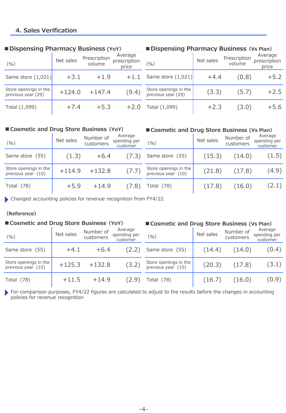# **4. Sales Verification**

| (9/6)                                       | Net sales | Prescription<br>volume | Average<br>prescription<br>price | (9/0)                                       | Net sales | Prescription<br>volume | Average<br>prescription<br>price |
|---------------------------------------------|-----------|------------------------|----------------------------------|---------------------------------------------|-----------|------------------------|----------------------------------|
| Same store $(1,021)$                        | $+3.1$    | $+1.9$                 | $+1.1$                           | Same store $(1,021)$                        | $+4.4$    | (0.8)                  | $+5.2$                           |
| Store openings in the<br>previous year (29) | $+124.0$  | $+147.4$               | (9.4)                            | Store openings in the<br>previous year (29) | (3.3)     | (5.7)                  | $+2.5$                           |
| Total (1,099)                               | $+7.4$    | $+5.3$                 | $+2.0$                           | Total (1,099)                               | $+2.3$    | (3.0)                  | $+5.6$                           |

#### **■Dispensing Pharmacy Business (YoY)**

# **■Dispensing Pharmacy Business(Vs Plan)**

#### **■Cosmetic and Drug Store Business(YoY) ■Cosmetic and Drug Store Business (Vs Plan)**

| (9/0)                                         | Net sales | Number of<br>customers | Average<br>spending per<br>customer | $(\%)$                                        | Net sales | Number of<br>customers | Average<br>spending per<br>customer |
|-----------------------------------------------|-----------|------------------------|-------------------------------------|-----------------------------------------------|-----------|------------------------|-------------------------------------|
| Same store (55)                               | (1.3)     | $+6.4$                 | (7.3)                               | Same store (55)                               | (15.3)    | (14.0)                 | (1.5)                               |
| Store openings in the<br>previous year $(10)$ | $+114.9$  | $+132.8$               | (7.7)                               | Store openings in the<br>previous year $(10)$ | (21.8)    | (17.8)                 | (4.9)                               |
| Total $(78)$                                  | $+5.9$    | $+14.9$                | (7.8)                               | Total (78)                                    | (17.8)    | (16.0)                 | (2.1)                               |

Changed accounting policies for revenue recognition from FY4/22

#### **(Reference)**

#### Net sales Number of customers Average spending per customer Same store (55) (14.4) (14.0) (0.4) Store openings in the Store openings in the  $(20.3)$   $(17.8)$   $(3.1)$ Total (78) (16.7) (16.0) (0.9) **■Cosmetic and Drug Store Business(YoY) ■Cosmetic and Drug Store Business (Vs Plan)** Net sales Number of  $(% )$  customers spering per  $(%)$ Average spending per customer Same store  $(55)$   $+4.1$   $+6.4$   $(2.2)$ Store openings in the Store openings in the  $+125.3 +132.8$  (3.2) Total  $(78)$   $+11.5$   $+14.9$   $(2.9)$

For comparison purposes, FY4/22 figures are calculated to adjust to the results before the changes in accounting policies for revenue recognition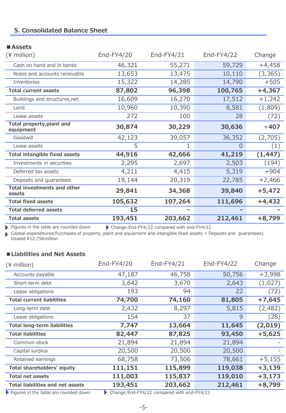# **5. Consolidated Balance Sheet**

# **■Assets**

| $(*)$ million)                                | End-FY4/20 | End-FY4/21 | End-FY4/22 | Change   |
|-----------------------------------------------|------------|------------|------------|----------|
| Cash on hand and in banks                     | 46,321     | 55,271     | 59,729     | $+4,458$ |
| Notes and accounts receivable                 | 13,653     | 13,475     | 10,110     | (3, 365) |
| Inventories                                   | 15,322     | 14,285     | 14,790     | $+505$   |
| <b>Total current assets</b>                   | 87,802     | 96,398     | 100,765    | $+4,367$ |
| Buildings and structures, net                 | 16,609     | 16,270     | 17,512     | $+1,242$ |
| Land                                          | 10,960     | 10,390     | 8,581      | (1,809)  |
| Lease assets                                  | 272        | 100        | 28         | (72)     |
| <b>Total property, plant and</b><br>equipment | 30,874     | 30,229     | 30,636     | $+407$   |
| Goodwill                                      | 42,123     | 39,057     | 36,352     | (2,705)  |
| Lease assets                                  | 5          |            | 0          | (1)      |
| <b>Total intangible fixed assets</b>          | 44,916     | 42,666     | 41,219     | (1, 447) |
| Investments in securities                     | 2,295      | 2,697      | 2,503      | (194)    |
| Deferred tax assets                           | 4,211      | 4,415      | 5,319      | $+904$   |
| Deposits and guarantees                       | 19,144     | 20,319     | 22,785     | $+2,466$ |
| <b>Total investments and other</b><br>assets  | 29,841     | 34,368     | 39,840     | $+5,472$ |
| <b>Total fixed assets</b>                     | 105,632    | 107,264    | 111,696    | $+4,432$ |
| <b>Total deferred assets</b>                  | 15         |            |            |          |
| <b>Total assets</b>                           | 193,451    | 203,662    | 212,461    | $+8,799$ |

Figures in the table are rounded down Change:End-FY4/22 compared with end-FY4/21

Capital expenditures(Purchases of property, plant and equipment and intangible fixed assets + Deposits and guarantees) totaled ¥12,756million

### **■Liabilities and Net Assets**

| $(*)$ million)                                              | End-FY4/20 | End-FY4/21                                  | End-FY4/22 | Change   |
|-------------------------------------------------------------|------------|---------------------------------------------|------------|----------|
| Accounts payable                                            | 47,187     | 46,758                                      | 50,756     | $+3,998$ |
| Short-term debt                                             | 3,642      | 3,670                                       | 2,643      | (1,027)  |
| Lease obligations                                           | 193        | 94                                          | 22         | (72)     |
| <b>Total current liabilities</b>                            | 74,700     | 74,160                                      | 81,805     | $+7,645$ |
| Long-term debt                                              | 2,432      | 8,297                                       | 5,815      | (2,482)  |
| Lease obligations                                           | 154        | 37                                          | 9          | (28)     |
| <b>Total long-term liabilities</b>                          | 7,747      | 13,664                                      | 11,645     | (2,019)  |
| <b>Total liabilities</b>                                    | 82,447     | 87,825                                      | 93,450     | $+5,625$ |
| Common stock                                                | 21,894     | 21,894                                      | 21,894     |          |
| Capital surplus                                             | 20,500     | 20,500                                      | 20,500     |          |
| Retained earnings                                           | 68,758     | 73,506                                      | 78,661     | $+5,155$ |
| Total shareholders' equity                                  | 111,151    | 115,899                                     | 119,038    | $+3,139$ |
| <b>Total net assets</b>                                     | 111,003    | 115,837                                     | 119,010    | $+3,173$ |
| <b>Total liabilities and net assets</b>                     | 193,451    | 203,662                                     | 212,461    | $+8,799$ |
| $\blacktriangleright$ Figures in the table are rounded down |            | Change: End-FY4/22 compared with end-FY4/21 |            |          |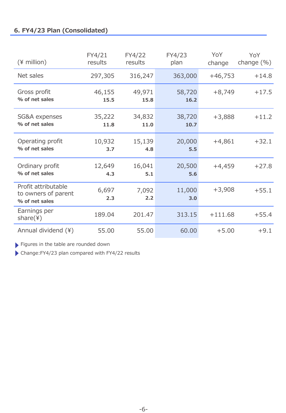# **6. FY4/23 Plan (Consolidated)**

| $(*)$ million)                                               | FY4/21<br>results | FY4/22<br>results | FY4/23<br>plan | YoY<br>change | YoY<br>change $(\% )$ |
|--------------------------------------------------------------|-------------------|-------------------|----------------|---------------|-----------------------|
| Net sales                                                    | 297,305           | 316,247           | 363,000        | $+46,753$     | $+14.8$               |
| Gross profit<br>% of net sales                               | 46,155<br>15.5    | 49,971<br>15.8    | 58,720<br>16.2 | $+8,749$      | $+17.5$               |
| SG&A expenses<br>% of net sales                              | 35,222<br>11.8    | 34,832<br>11.0    | 38,720<br>10.7 | $+3,888$      | $+11.2$               |
| Operating profit<br>% of net sales                           | 10,932<br>3.7     | 15,139<br>4.8     | 20,000<br>5.5  | $+4,861$      | $+32.1$               |
| Ordinary profit<br>% of net sales                            | 12,649<br>4.3     | 16,041<br>5.1     | 20,500<br>5.6  | $+4,459$      | $+27.8$               |
| Profit attributable<br>to owners of parent<br>% of net sales | 6,697<br>2.3      | 7,092<br>2.2      | 11,000<br>3.0  | $+3,908$      | $+55.1$               |
| Earnings per<br>share(4)                                     | 189.04            | 201.47            | 313.15         | $+111.68$     | $+55.4$               |
| Annual dividend (¥)                                          | 55.00             | 55.00             | 60.00          | $+5.00$       | $+9.1$                |

Figures in the table are rounded down

Change:FY4/23 plan compared with FY4/22 results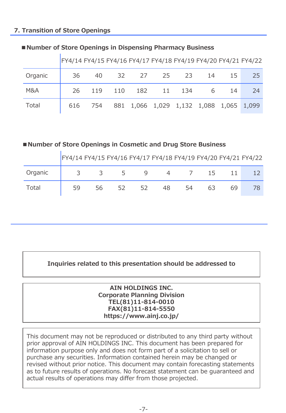# **7. Transition of Store Openings**

|                | FY4/14 FY4/15 FY4/16 FY4/17 FY4/18 FY4/19 FY4/20 FY4/21 FY4/22 |                                                 |  |                |     |     |     |
|----------------|----------------------------------------------------------------|-------------------------------------------------|--|----------------|-----|-----|-----|
| Organic        | 36                                                             | 40                                              |  | 32 27 25 23    | -14 | 15  | 257 |
| <b>M&amp;A</b> | 26                                                             | 119                                             |  | 110 182 11 134 | 6   | -14 | -24 |
| Total          |                                                                | 616 754 881 1,066 1,029 1,132 1,088 1,065 1,099 |  |                |     |     |     |

## ■**Number of Store Openings in Dispensing Pharmacy Business**

# **■Number of Store Openings in Cosmetic and Drug Store Business**

FY4/14 FY4/15 FY4/16 FY4/17 FY4/18 FY4/19 FY4/20 FY4/21 FY4/22

| Organic $\begin{array}{ c c } \hline 3 & 3 & 5 \end{array}$ |                                                                      |    |    |    |    | 4 7 | 15 |    |  |
|-------------------------------------------------------------|----------------------------------------------------------------------|----|----|----|----|-----|----|----|--|
| Total                                                       | $\begin{array}{ c c c c c } \hline \quad & 59 \\ \hline \end{array}$ | 56 | 52 | 52 | 48 | 54  | 63 | 69 |  |

# **Inquiries related to this presentation should be addressed to**

#### **AIN HOLDINGS INC. Corporate Planning Division TEL(81)11-814-0010 FAX(81)11-814-5550 https://www.ainj.co.jp/**

This document may not be reproduced or distributed to any third party without prior approval of AIN HOLDINGS INC. This document has been prepared for information purpose only and does not form part of a solicitation to sell or purchase any securities. Information contained herein may be changed or revised without prior notice. This document may contain forecasting statements as to future results of operations. No forecast statement can be guaranteed and actual results of operations may differ from those projected.